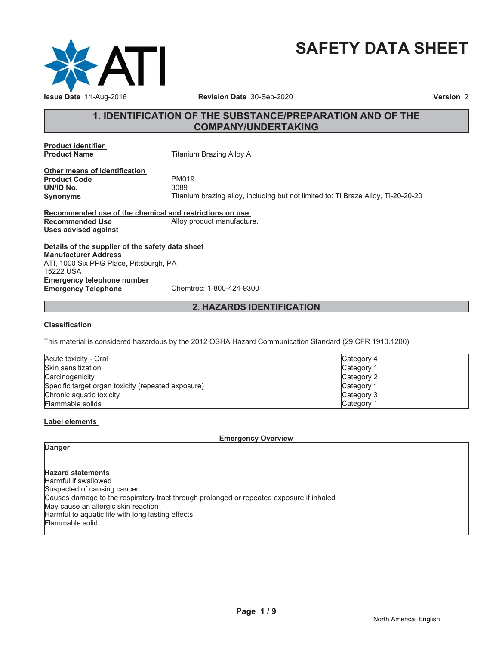

# **SAFETY DATA SHEET**

# **1. IDENTIFICATION OF THE SUBSTANCE/PREPARATION AND OF THE COMPANY/UNDERTAKING**

**Product identifier**

**Titanium Brazing Alloy A** 

**Other means of identification** Product Code **PM019**<br> **UN/ID No.** 3089 **UN/ID No.** 

**Synonyms** Titanium brazing alloy, including but not limited to: Ti Braze Alloy, Ti-20-20-20

**Recommended use of the chemical and restrictions on use Recommended Use** Alloy product manufacture. **Uses advised against**

**Details of the supplier of the safety data sheet Emergency telephone number Emergency Telephone** Chemtrec: 1-800-424-9300 **Manufacturer Address** ATI, 1000 Six PPG Place, Pittsburgh, PA 15222 USA

# **2. HAZARDS IDENTIFICATION**

#### **Classification**

This material is considered hazardous by the 2012 OSHA Hazard Communication Standard (29 CFR 1910.1200)

| Acute toxicity - Oral                              | Category 4            |
|----------------------------------------------------|-----------------------|
| Skin sensitization                                 | Category <sup>2</sup> |
| Carcinogenicity                                    | Category 2            |
| Specific target organ toxicity (repeated exposure) | Category <sup>2</sup> |
| Chronic aquatic toxicity                           | Category 3            |
| Flammable solids                                   | Category <sup>1</sup> |

### **Label elements**

**Emergency Overview**

# **Danger**

**Hazard statements** Harmful if swallowed Suspected of causing cancer Causes damage to the respiratory tract through prolonged or repeated exposure if inhaled May cause an allergic skin reaction Harmful to aquatic life with long lasting effects Flammable solid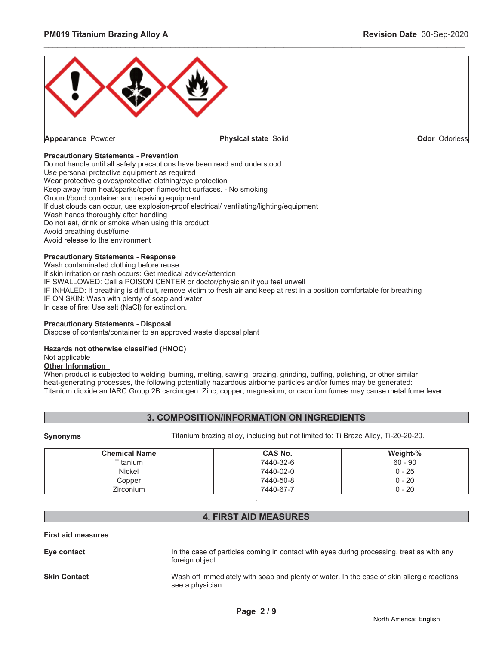

#### **Precautionary Statements - Prevention**

Do not handle until all safety precautions have been read and understood Use personal protective equipment as required Wear protective gloves/protective clothing/eye protection Keep away from heat/sparks/open flames/hot surfaces. - No smoking Ground/bond container and receiving equipment If dust clouds can occur, use explosion-proof electrical/ ventilating/lighting/equipment Wash hands thoroughly after handling Do not eat, drink or smoke when using this product Avoid breathing dust/fume Avoid release to the environment

# **Precautionary Statements - Response**

Wash contaminated clothing before reuse If skin irritation or rash occurs: Get medical advice/attention IF SWALLOWED: Call a POISON CENTER or doctor/physician if you feel unwell IF INHALED: If breathing is difficult, remove victim to fresh air and keep at rest in a position comfortable for breathing IF ON SKIN: Wash with plenty of soap and water In case of fire: Use salt (NaCl) for extinction.

#### **Precautionary Statements - Disposal**

Dispose of contents/container to an approved waste disposal plant

# **Hazards not otherwise classified (HNOC)**

Not applicable

# **Other Information**

When product is subjected to welding, burning, melting, sawing, brazing, grinding, buffing, polishing, or other similar heat-generating processes, the following potentially hazardous airborne particles and/or fumes may be generated: Titanium dioxide an IARC Group 2B carcinogen. Zinc, copper, magnesium, or cadmium fumes may cause metal fume fever.

# **3. COMPOSITION/INFORMATION ON INGREDIENTS**

**Synonyms** Titanium brazing alloy, including but not limited to: Ti Braze Alloy, Ti-20-20-20.

| <b>Chemical Name</b> | <b>CAS No.</b> | Weight-%  |
|----------------------|----------------|-----------|
| <b>Titanium</b>      | 7440-32-6      | $60 - 90$ |
| Nickel               | 7440-02-0      | $0 - 25$  |
| Copper               | 7440-50-8      | $0 - 20$  |
| Zirconium            | 7440-67-7      | $0 - 20$  |

# **4. FIRST AID MEASURES**

.

#### **First aid measures**

**Eye contact** In the case of particles coming in contact with eyes during processing, treat as with any foreign object.

**Skin Contact** Wash off immediately with soap and plenty of water. In the case of skin allergic reactions see a physician.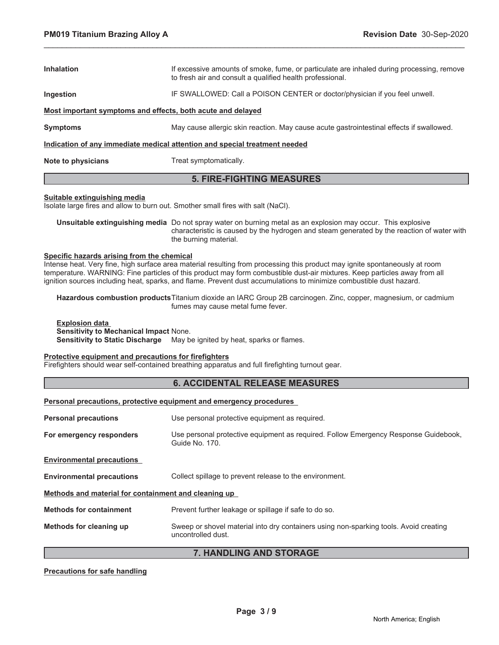| <b>5. FIRE-FIGHTING MEASURES</b>                                           |                                                                                                                                                        |  |  |
|----------------------------------------------------------------------------|--------------------------------------------------------------------------------------------------------------------------------------------------------|--|--|
| Note to physicians<br>Treat symptomatically.                               |                                                                                                                                                        |  |  |
| Indication of any immediate medical attention and special treatment needed |                                                                                                                                                        |  |  |
| <b>Symptoms</b>                                                            | May cause allergic skin reaction. May cause acute gastrointestinal effects if swallowed.                                                               |  |  |
| Most important symptoms and effects, both acute and delayed                |                                                                                                                                                        |  |  |
| Ingestion                                                                  | IF SWALLOWED: Call a POISON CENTER or doctor/physician if you feel unwell.                                                                             |  |  |
| <b>Inhalation</b>                                                          | If excessive amounts of smoke, fume, or particulate are inhaled during processing, remove<br>to fresh air and consult a qualified health professional. |  |  |
|                                                                            |                                                                                                                                                        |  |  |

#### **Suitable extinguishing media**

Isolate large fires and allow to burn out. Smother small fires with salt (NaCl).

**Unsuitable extinguishing media** Do not spray water on burning metal as an explosion may occur. This explosive characteristic is caused by the hydrogen and steam generated by the reaction of water with the burning material.

#### **Specific hazards arising from the chemical**

Intense heat. Very fine, high surface area material resulting from processing this product may ignite spontaneously at room temperature. WARNING: Fine particles of this product may form combustible dust-air mixtures. Keep particles away from all ignition sources including heat, sparks, and flame. Prevent dust accumulations to minimize combustible dust hazard.

**Hazardous combustion products**Titanium dioxide an IARC Group 2B carcinogen. Zinc, copper, magnesium, or cadmium fumes may cause metal fume fever.

#### **Explosion data Sensitivity to Mechanical Impact** None. **Sensitivity to Static Discharge** May be ignited by heat, sparks or flames.

#### **Protective equipment and precautions for firefighters**

Firefighters should wear self-contained breathing apparatus and full firefighting turnout gear.

# **6. ACCIDENTAL RELEASE MEASURES**

**Personal precautions, protective equipment and emergency procedures**

| <b>Personal precautions</b>                          | Use personal protective equipment as required.                                                              |  |  |
|------------------------------------------------------|-------------------------------------------------------------------------------------------------------------|--|--|
| For emergency responders                             | Use personal protective equipment as required. Follow Emergency Response Guidebook,<br>Guide No. 170.       |  |  |
| <b>Environmental precautions</b>                     |                                                                                                             |  |  |
| <b>Environmental precautions</b>                     | Collect spillage to prevent release to the environment.                                                     |  |  |
| Methods and material for containment and cleaning up |                                                                                                             |  |  |
| <b>Methods for containment</b>                       | Prevent further leakage or spillage if safe to do so.                                                       |  |  |
| Methods for cleaning up                              | Sweep or shovel material into dry containers using non-sparking tools. Avoid creating<br>uncontrolled dust. |  |  |

# **7. HANDLING AND STORAGE**

#### **Precautions for safe handling**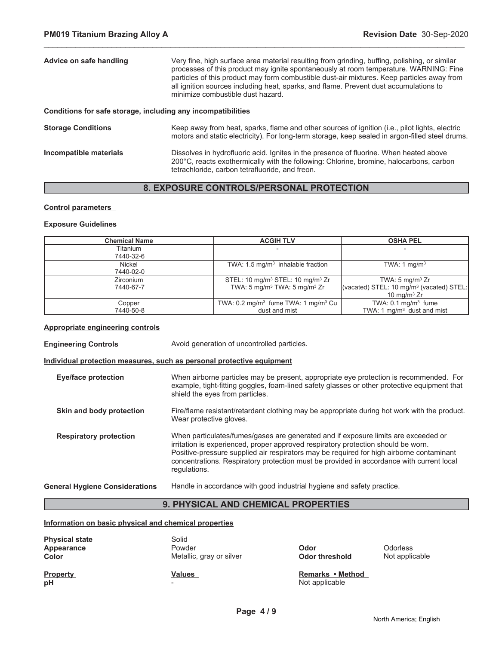| Advice on safe handling                                      | Very fine, high surface area material resulting from grinding, buffing, polishing, or similar<br>processes of this product may ignite spontaneously at room temperature. WARNING: Fine<br>particles of this product may form combustible dust-air mixtures. Keep particles away from<br>all ignition sources including heat, sparks, and flame. Prevent dust accumulations to<br>minimize combustible dust hazard. |
|--------------------------------------------------------------|--------------------------------------------------------------------------------------------------------------------------------------------------------------------------------------------------------------------------------------------------------------------------------------------------------------------------------------------------------------------------------------------------------------------|
| Conditions for safe storage, including any incompatibilities |                                                                                                                                                                                                                                                                                                                                                                                                                    |
| <b>Storage Conditions</b>                                    | Keep away from heat, sparks, flame and other sources of ignition (i.e., pilot lights, electric<br>motors and static electricity). For long-term storage, keep sealed in argon-filled steel drums.                                                                                                                                                                                                                  |
| Incompatible materials                                       | Dissolves in hydrofluoric acid. Ignites in the presence of fluorine. When heated above<br>200°C, reacts exothermically with the following: Chlorine, bromine, halocarbons, carbon                                                                                                                                                                                                                                  |

# **8. EXPOSURE CONTROLS/PERSONAL PROTECTION**

tetrachloride, carbon tetrafluoride, and freon.

#### **Control parameters**

#### **Exposure Guidelines**

| <b>Chemical Name</b> | <b>ACGIH TLV</b>                                           | <b>OSHA PEL</b>                                      |
|----------------------|------------------------------------------------------------|------------------------------------------------------|
| Titanium             |                                                            |                                                      |
| 7440-32-6            |                                                            |                                                      |
| Nickel               | TWA: $1.5 \text{ mg/m}^3$ inhalable fraction               | TWA: 1 $mq/m3$                                       |
| 7440-02-0            |                                                            |                                                      |
| Zirconium            | STEL: 10 mg/m <sup>3</sup> STEL: 10 mg/m <sup>3</sup> Zr   | TWA: 5 mg/m <sup>3</sup> $Zr$                        |
| 7440-67-7            | TWA: 5 mg/m <sup>3</sup> TWA: 5 mg/m <sup>3</sup> Zr       | (vacated) STEL: 10 mg/m <sup>3</sup> (vacated) STEL: |
|                      |                                                            | 10 mg/m $3$ Zr                                       |
| Copper               | TWA: $0.2 \text{ mg/m}^3$ fume TWA: 1 mg/m <sup>3</sup> Cu | TWA: $0.1 \text{ mg/m}^3$ fume                       |
| 7440-50-8            | dust and mist                                              | TWA: 1 $mq/m3$ dust and mist                         |

#### **Appropriate engineering controls**

**Engineering Controls Avoid generation of uncontrolled particles. Individual protection measures, such as personal protective equipment Eye/face protection** When airborne particles may be present, appropriate eye protection is recommended. For example, tight-fitting goggles, foam-lined safety glasses or other protective equipment that shield the eyes from particles. **Skin and body protection** Fire/flame resistant/retardant clothing may be appropriate during hot work with the product. Wear protective gloves. **Respiratory protection** When particulates/fumes/gases are generated and if exposure limits are exceeded or irritation is experienced, proper approved respiratory protection should be worn. Positive-pressure supplied air respirators may be required for high airborne contaminant concentrations. Respiratory protection must be provided in accordance with current local regulations.

**General Hygiene Considerations** Handle in accordance with good industrial hygiene and safety practice.

# **9. PHYSICAL AND CHEMICAL PROPERTIES**

#### **Information on basic physical and chemical properties**

| <b>Physical state</b><br>Appearance<br>Color | Solid<br>Powder<br>Metallic, gray or silver | <b>Odorless</b><br>Odor<br>Not applicable<br>Odor threshold |  |
|----------------------------------------------|---------------------------------------------|-------------------------------------------------------------|--|
| <b>Property</b>                              | Values                                      | Remarks • Method                                            |  |
| pH                                           | $\sim$                                      | Not applicable                                              |  |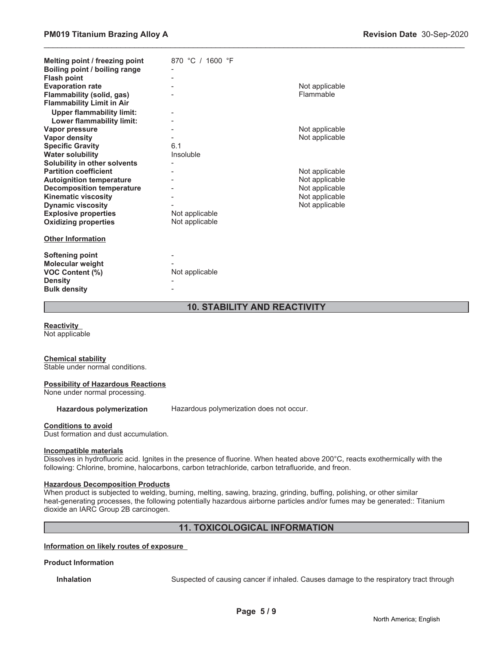| Melting point / freezing point<br>Boiling point / boiling range<br><b>Flash point</b><br><b>Evaporation rate</b><br>Flammability (solid, gas)<br><b>Flammability Limit in Air</b> | 870 °C / 1600 °F | Not applicable<br>Flammable |
|-----------------------------------------------------------------------------------------------------------------------------------------------------------------------------------|------------------|-----------------------------|
| <b>Upper flammability limit:</b>                                                                                                                                                  |                  |                             |
| Lower flammability limit:<br>Vapor pressure                                                                                                                                       |                  | Not applicable              |
| <b>Vapor density</b>                                                                                                                                                              |                  | Not applicable              |
| <b>Specific Gravity</b>                                                                                                                                                           | 6.1              |                             |
| <b>Water solubility</b>                                                                                                                                                           | Insoluble        |                             |
| Solubility in other solvents                                                                                                                                                      |                  |                             |
| <b>Partition coefficient</b>                                                                                                                                                      |                  | Not applicable              |
| <b>Autoignition temperature</b>                                                                                                                                                   |                  | Not applicable              |
| <b>Decomposition temperature</b>                                                                                                                                                  |                  | Not applicable              |
| <b>Kinematic viscosity</b>                                                                                                                                                        |                  | Not applicable              |
| <b>Dynamic viscosity</b>                                                                                                                                                          |                  | Not applicable              |
| <b>Explosive properties</b>                                                                                                                                                       | Not applicable   |                             |
| <b>Oxidizing properties</b>                                                                                                                                                       | Not applicable   |                             |
| <b>Other Information</b>                                                                                                                                                          |                  |                             |
| <b>Softening point</b><br><b>Molecular weight</b><br>VOC Content (%)                                                                                                              | Not applicable   |                             |
| <b>Density</b><br><b>Bulk density</b>                                                                                                                                             |                  |                             |

# **10. STABILITY AND REACTIVITY**

\_\_\_\_\_\_\_\_\_\_\_\_\_\_\_\_\_\_\_\_\_\_\_\_\_\_\_\_\_\_\_\_\_\_\_\_\_\_\_\_\_\_\_\_\_\_\_\_\_\_\_\_\_\_\_\_\_\_\_\_\_\_\_\_\_\_\_\_\_\_\_\_\_\_\_\_\_\_\_\_\_\_\_\_\_\_\_\_\_\_\_\_\_

**Reactivity**

Not applicable

#### **Chemical stability**

Stable under normal conditions.

#### **Possibility of Hazardous Reactions**

None under normal processing.

**Hazardous polymerization** Hazardous polymerization does not occur.

#### **Conditions to avoid**

Dust formation and dust accumulation.

#### **Incompatible materials**

Dissolves in hydrofluoric acid. Ignites in the presence of fluorine. When heated above 200°C, reacts exothermically with the following: Chlorine, bromine, halocarbons, carbon tetrachloride, carbon tetrafluoride, and freon.

#### **Hazardous Decomposition Products**

When product is subjected to welding, burning, melting, sawing, brazing, grinding, buffing, polishing, or other similar heat-generating processes, the following potentially hazardous airborne particles and/or fumes may be generated:: Titanium dioxide an IARC Group 2B carcinogen.

# **11. TOXICOLOGICAL INFORMATION**

**Information on likely routes of exposure**

#### **Product Information**

**Inhalation** Suspected of causing cancer if inhaled. Causes damage to the respiratory tract through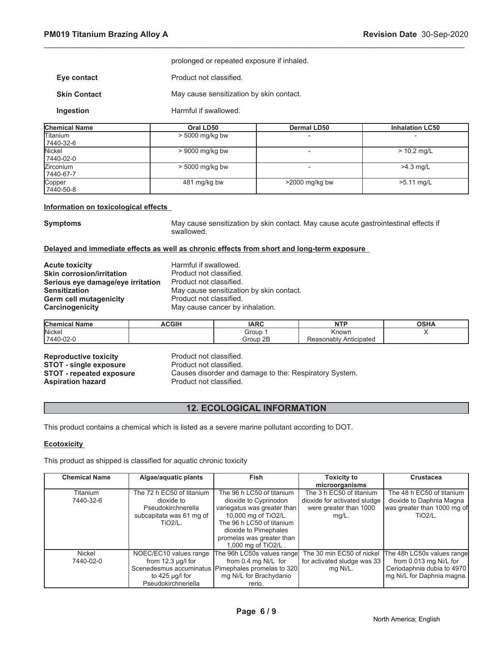|                     | prolonged or repeated exposure if inhaled. |
|---------------------|--------------------------------------------|
| Eye contact         | Product not classified.                    |
| <b>Skin Contact</b> | May cause sensitization by skin contact.   |

**Ingestion Harmful if swallowed.** 

| <b>Chemical Name</b>          | Oral LD50         | <b>Dermal LD50</b> | <b>Inhalation LC50</b> |
|-------------------------------|-------------------|--------------------|------------------------|
| <b>Titanium</b><br>7440-32-6  | $> 5000$ mg/kg bw |                    |                        |
| Nickel<br>7440-02-0           | $> 9000$ mg/kg bw |                    | $> 10.2$ mg/L          |
| <b>Zirconium</b><br>7440-67-7 | $> 5000$ mg/kg bw |                    | $>4.3$ mg/L            |
| Copper<br>7440-50-8           | 481 mg/kg bw      | $>2000$ mg/kg bw   | $>5.11$ mg/L           |

\_\_\_\_\_\_\_\_\_\_\_\_\_\_\_\_\_\_\_\_\_\_\_\_\_\_\_\_\_\_\_\_\_\_\_\_\_\_\_\_\_\_\_\_\_\_\_\_\_\_\_\_\_\_\_\_\_\_\_\_\_\_\_\_\_\_\_\_\_\_\_\_\_\_\_\_\_\_\_\_\_\_\_\_\_\_\_\_\_\_\_\_\_

#### **Information on toxicological effects**

**Symptoms** May cause sensitization by skin contact. May cause acute gastrointestinal effects if swallowed.

#### **Delayed and immediate effects as well as chronic effects from short and long-term exposure**

**Acute toxicity**<br> **Acute toxicity**<br> **Acute is the Skin corrosion/irritation**<br>
Product not classified. **Skin corrosion/irritation**<br>**Serious eve damage/eve irritation** Product not classified. **Serious eye damage/eye irritation<br>Sensitization** Germ cell mutagenicity **Product not classified. Carcinogenicity** May cause cancer by inhalation.

May cause sensitization by skin contact.

| <b>Chemical Name</b> | <b>ACGIH</b> | <b>IADC</b><br>IANU | <b>NTP</b>                            | OCDI<br>JJNA |
|----------------------|--------------|---------------------|---------------------------------------|--------------|
| Nickel               |              | Group               | Known                                 |              |
| 7440-02-0            |              | Group 2B            | asonablv Anticipated<br><b>Reasor</b> |              |

**Reproductive toxicity example 3 Reproductive Product not classified.**<br> **STOT - single exposure** Product not classified. **STOT - single exposure<br>STOT - repeated exposure** Aspiration hazard **Product not classified.** 

Causes disorder and damage to the: Respiratory System.

# **12. ECOLOGICAL INFORMATION**

This product contains a chemical which is listed as a severe marine pollutant according to DOT.

#### **Ecotoxicity**

This product as shipped is classified for aquatic chronic toxicity

| <b>Chemical Name</b> | Algae/aquatic plants      | <b>Fish</b>                                          | <b>Toxicity to</b>           | <b>Crustacea</b>            |
|----------------------|---------------------------|------------------------------------------------------|------------------------------|-----------------------------|
|                      |                           |                                                      | microorganisms               |                             |
| Titanium             | The 72 h EC50 of titanium | The 96 h LC50 of titanium                            | The 3 h EC50 of titanium     | The 48 h EC50 of titanium   |
| 7440-32-6            | dioxide to                | dioxide to Cyprinodon                                | dioxide for activated sludge | dioxide to Daphnia Magna    |
|                      | Pseudokirchnerella        | variegatus was greater than                          | were greater than 1000       | was greater than 1000 mg of |
|                      | subcapitata was 61 mg of  | 10,000 mg of TiO2/L.                                 | $mq/L$ .                     | $TiO2/L$ .                  |
|                      | <b>TiO2/L.</b>            | The 96 h LC50 of titanium                            |                              |                             |
|                      |                           | dioxide to Pimephales                                |                              |                             |
|                      |                           | promelas was greater than                            |                              |                             |
|                      |                           | 1.000 mg of TiO2/L.                                  |                              |                             |
| Nickel               | NOEC/EC10 values range    | The 96h LC50s values range                           | The 30 min EC50 of nickel    | The 48h LC50s values range  |
| 7440-02-0            | from $12.3 \mu g/l$ for   | from 0.4 mg Ni/L for                                 | for activated sludge was 33  | from 0.013 mg Ni/L for      |
|                      |                           | Scenedesmus accuminatus   Pimephales promelas to 320 | mg Ni/L.                     | Ceriodaphnia dubia to 4970  |
|                      | to 425 $\mu$ g/l for      | mg Ni/L for Brachydanio                              |                              | mg Ni/L for Daphnia magna.  |
|                      | Pseudokirchneriella       | rerio.                                               |                              |                             |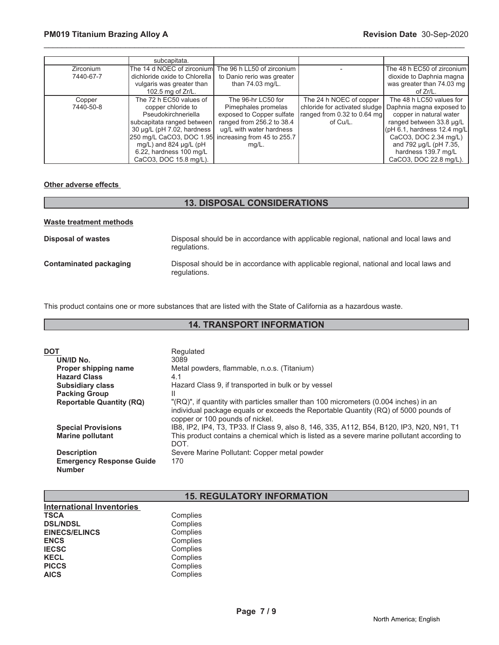|                        | subcapitata.                                                                                                                                                                                                                                                                 |                                                                                                                                          |                                                                                                     |                                                                                                                                                                                                                                                 |
|------------------------|------------------------------------------------------------------------------------------------------------------------------------------------------------------------------------------------------------------------------------------------------------------------------|------------------------------------------------------------------------------------------------------------------------------------------|-----------------------------------------------------------------------------------------------------|-------------------------------------------------------------------------------------------------------------------------------------------------------------------------------------------------------------------------------------------------|
| Zirconium<br>7440-67-7 | The 14 d NOEC of zirconium<br>dichloride oxide to Chlorella<br>vulgaris was greater than<br>102.5 mg of Zr/L.                                                                                                                                                                | The 96 h LL50 of zirconium<br>to Danio rerio was greater<br>than 74.03 mg/L.                                                             |                                                                                                     | The 48 h EC50 of zirconium<br>dioxide to Daphnia magna<br>was greater than 74.03 mg<br>of Zr/L.                                                                                                                                                 |
| Copper<br>7440-50-8    | The 72 h EC50 values of<br>copper chloride to<br>Pseudokirchneriella<br>subcapitata ranged between<br>30 µg/L (pH 7.02, hardness<br>250 mg/L CaCO3, DOC 1.95 increasing from 45 to 255.7<br>mg/L) and 824 $\mu$ g/L (pH<br>6.22, hardness 100 mg/L<br>CaCO3, DOC 15.8 mg/L). | The 96-hr LC50 for<br>Pimephales promelas<br>exposed to Copper sulfate<br>ranged from 256.2 to 38.4<br>ug/L with water hardness<br>mg/L. | The 24 h NOEC of copper<br>chloride for activated sludge<br>ranged from 0.32 to 0.64 mg<br>of Cu/L. | The 48 h LC50 values for<br>Daphnia magna exposed to<br>copper in natural water<br>ranged between 33.8 µg/L<br>(pH 6.1, hardness 12.4 mg/L)<br>CaCO3, DOC 2.34 mg/L)<br>and 792 µg/L (pH 7.35,<br>hardness 139.7 mg/L<br>CaCO3, DOC 22.8 mg/L). |

# **Other adverse effects**

# **13. DISPOSAL CONSIDERATIONS**

| Waste treatment methods |                                                                                                        |
|-------------------------|--------------------------------------------------------------------------------------------------------|
| Disposal of wastes      | Disposal should be in accordance with applicable regional, national and local laws and<br>regulations. |
| Contaminated packaging  | Disposal should be in accordance with applicable regional, national and local laws and<br>regulations. |

This product contains one or more substances that are listed with the State of California as a hazardous waste.

# **14. TRANSPORT INFORMATION**

| <b>DOT</b>                                       | Regulated                                                                                                                                                                                                      |
|--------------------------------------------------|----------------------------------------------------------------------------------------------------------------------------------------------------------------------------------------------------------------|
| UN/ID No.                                        | 3089                                                                                                                                                                                                           |
| Proper shipping name                             | Metal powders, flammable, n.o.s. (Titanium)                                                                                                                                                                    |
| <b>Hazard Class</b>                              | 4.1                                                                                                                                                                                                            |
| <b>Subsidiary class</b>                          | Hazard Class 9, if transported in bulk or by vessel                                                                                                                                                            |
| <b>Packing Group</b>                             | Ш                                                                                                                                                                                                              |
| <b>Reportable Quantity (RQ)</b>                  | "(RQ)", if quantity with particles smaller than 100 micrometers (0.004 inches) in an<br>individual package equals or exceeds the Reportable Quantity (RQ) of 5000 pounds of<br>copper or 100 pounds of nickel. |
| <b>Special Provisions</b>                        | IB8, IP2, IP4, T3, TP33. If Class 9, also 8, 146, 335, A112, B54, B120, IP3, N20, N91, T1                                                                                                                      |
| <b>Marine pollutant</b>                          | This product contains a chemical which is listed as a severe marine pollutant according to<br>DOT.                                                                                                             |
| <b>Description</b>                               | Severe Marine Pollutant: Copper metal powder                                                                                                                                                                   |
| <b>Emergency Response Guide</b><br><b>Number</b> | 170.                                                                                                                                                                                                           |

# **15. REGULATORY INFORMATION**

| <b>International Inventories</b> |          |
|----------------------------------|----------|
| <b>TSCA</b>                      | Complies |
| <b>DSL/NDSL</b>                  | Complies |
| <b>EINECS/ELINCS</b>             | Complies |
| <b>ENCS</b>                      | Complies |
| <b>IECSC</b>                     | Complies |
| <b>KECL</b>                      | Complies |
| <b>PICCS</b>                     | Complies |
| <b>AICS</b>                      | Complies |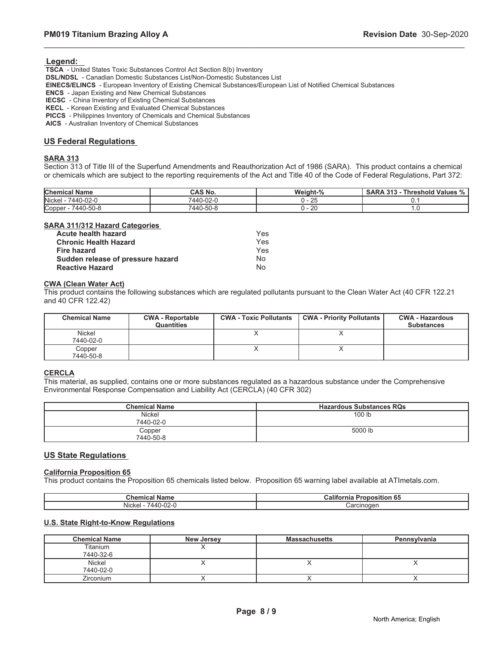#### **Legend:**

 **TSCA** - United States Toxic Substances Control Act Section 8(b) Inventory

 **DSL/NDSL** - Canadian Domestic Substances List/Non-Domestic Substances List

 **EINECS/ELINCS** - European Inventory of Existing Chemical Substances/European List of Notified Chemical Substances

 **ENCS** - Japan Existing and New Chemical Substances

 **IECSC** - China Inventory of Existing Chemical Substances

 **KECL** - Korean Existing and Evaluated Chemical Substances

 **PICCS** - Philippines Inventory of Chemicals and Chemical Substances

 **AICS** - Australian Inventory of Chemical Substances

#### **US Federal Regulations**

#### **SARA 313**

Section 313 of Title III of the Superfund Amendments and Reauthorization Act of 1986 (SARA). This product contains a chemical or chemicals which are subject to the reporting requirements of the Act and Title 40 of the Code of Federal Regulations, Part 372:

\_\_\_\_\_\_\_\_\_\_\_\_\_\_\_\_\_\_\_\_\_\_\_\_\_\_\_\_\_\_\_\_\_\_\_\_\_\_\_\_\_\_\_\_\_\_\_\_\_\_\_\_\_\_\_\_\_\_\_\_\_\_\_\_\_\_\_\_\_\_\_\_\_\_\_\_\_\_\_\_\_\_\_\_\_\_\_\_\_\_\_\_\_

| <b>Chemical Name</b>       | <b>CAS No.</b> | Weight-% | <b>SARA 313 -</b><br><b>Threshold Values %</b> |
|----------------------------|----------------|----------|------------------------------------------------|
| <b>Nickel</b><br>7440-02-0 | 7440-02-0      | $-25$    |                                                |
| 7440-50-8<br>Copper        | 7440-50-8      | - 20     | $\cdot\cdot$                                   |

#### **SARA 311/312 Hazard Categories**

| <b>Acute health hazard</b>        | Yes |
|-----------------------------------|-----|
| <b>Chronic Health Hazard</b>      | Yes |
| Fire hazard                       | Yes |
| Sudden release of pressure hazard | N٥  |
| <b>Reactive Hazard</b>            | N٥  |

#### **CWA (Clean Water Act)**

This product contains the following substances which are regulated pollutants pursuant to the Clean Water Act (40 CFR 122.21 and 40 CFR 122.42)

| <b>Chemical Name</b> | <b>CWA - Reportable</b><br><b>Quantities</b> | <b>CWA - Toxic Pollutants</b> | <b>CWA - Priority Pollutants</b> | <b>CWA - Hazardous</b><br><b>Substances</b> |
|----------------------|----------------------------------------------|-------------------------------|----------------------------------|---------------------------------------------|
| Nickel<br>7440-02-0  |                                              |                               |                                  |                                             |
| Copper<br>7440-50-8  |                                              |                               |                                  |                                             |

#### **CERCLA**

This material, as supplied, contains one or more substances regulated as a hazardous substance under the Comprehensive Environmental Response Compensation and Liability Act (CERCLA) (40 CFR 302)

| <b>Chemical Name</b> | <b>Hazardous Substances RQs</b> |
|----------------------|---------------------------------|
| Nickel<br>7440-02-0  | 100 <sub>lb</sub>               |
| Copper<br>7440-50-8  | 5000 lb                         |

#### **US State Regulations**

#### **California Proposition 65**

This product contains the Proposition 65 chemicals listed below. Proposition 65 warning label available at ATImetals.com.

| $\sim$<br>- IV<br>، ا ب           | .<br>аног<br>ша<br>o.<br> |
|-----------------------------------|---------------------------|
| .<br>$\sim$<br><b>NIC</b><br>JZ-L | CILIO<br>-------          |

### **U.S. State Right-to-Know Regulations**

| <b>Chemical Name</b> | <b>New Jersey</b> | <b>Massachusetts</b> | Pennsylvania |
|----------------------|-------------------|----------------------|--------------|
| Titanium             |                   |                      |              |
| 7440-32-6            |                   |                      |              |
| Nickel               |                   |                      |              |
| 7440-02-0            |                   |                      |              |
| <b>Zirconium</b>     |                   |                      |              |